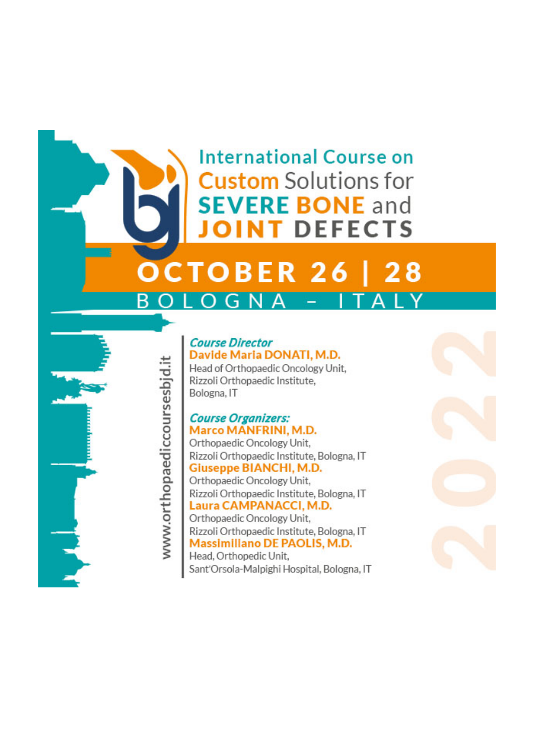## **International Course on Custom** Solutions for **SFVERE BONE and DEFECTS**

### **OCTOBER 26** 28

www.orthopaediccoursesbid.it

#### **Course Director** Davide Maria DONATI, M.D.

Head of Orthopaedic Oncology Unit, Rizzoli Orthopaedic Institute. Bologna, IT

# Course Organizers:<br>Marco MANFRINI, M.D.

Orthopaedic Oncology Unit, Rizzoli Orthopaedic Institute, Bologna, IT **Giuseppe BIANCHI, M.D.** Orthopaedic Oncology Unit, Rizzoli Orthopaedic Institute, Bologna, IT Laura CAMPANACCI, M.D. Orthopaedic Oncology Unit, Rizzoli Orthopaedic Institute, Bologna, IT Massimiliano DE PAOLIS, M.D. Head, Orthopedic Unit, Sant'Orsola-Malpighi Hospital, Bologna, IT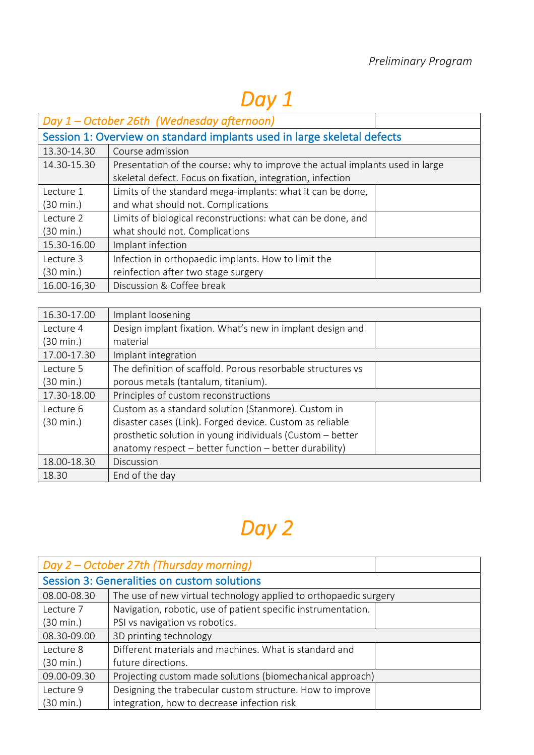# *Day 1*

|                                                                         | Day 1 – October 26th (Wednesday afternoon)                                   |  |
|-------------------------------------------------------------------------|------------------------------------------------------------------------------|--|
| Session 1: Overview on standard implants used in large skeletal defects |                                                                              |  |
| 13.30-14.30                                                             | Course admission                                                             |  |
| 14.30-15.30                                                             | Presentation of the course: why to improve the actual implants used in large |  |
|                                                                         | skeletal defect. Focus on fixation, integration, infection                   |  |
| Lecture 1                                                               | Limits of the standard mega-implants: what it can be done,                   |  |
| (30 min.)                                                               | and what should not. Complications                                           |  |
| Lecture 2                                                               | Limits of biological reconstructions: what can be done, and                  |  |
| (30 min.)                                                               | what should not. Complications                                               |  |
| 15.30-16.00                                                             | Implant infection                                                            |  |
| Lecture 3                                                               | Infection in orthopaedic implants. How to limit the                          |  |
| (30 min.)                                                               | reinfection after two stage surgery                                          |  |
| 16.00-16,30                                                             | Discussion & Coffee break                                                    |  |

| 16.30-17.00 | Implant loosening                                           |
|-------------|-------------------------------------------------------------|
| Lecture 4   | Design implant fixation. What's new in implant design and   |
| (30 min.)   | material                                                    |
| 17.00-17.30 | Implant integration                                         |
| Lecture 5   | The definition of scaffold. Porous resorbable structures vs |
| (30 min.)   | porous metals (tantalum, titanium).                         |
| 17.30-18.00 | Principles of custom reconstructions                        |
| Lecture 6   | Custom as a standard solution (Stanmore). Custom in         |
| (30 min.)   | disaster cases (Link). Forged device. Custom as reliable    |
|             | prosthetic solution in young individuals (Custom - better   |
|             | anatomy respect $-$ better function $-$ better durability)  |
| 18.00-18.30 | Discussion                                                  |
| 18.30       | End of the day                                              |

# *Day 2*

| Day 2 – October 27th (Thursday morning)     |                                                                  |  |
|---------------------------------------------|------------------------------------------------------------------|--|
| Session 3: Generalities on custom solutions |                                                                  |  |
| 08.00-08.30                                 | The use of new virtual technology applied to orthopaedic surgery |  |
| Lecture 7                                   | Navigation, robotic, use of patient specific instrumentation.    |  |
| (30 min.)                                   | PSI vs navigation vs robotics.                                   |  |
| 08.30-09.00                                 | 3D printing technology                                           |  |
| Lecture 8                                   | Different materials and machines. What is standard and           |  |
| (30 min.)                                   | future directions.                                               |  |
| 09.00-09.30                                 | Projecting custom made solutions (biomechanical approach)        |  |
| Lecture 9                                   | Designing the trabecular custom structure. How to improve        |  |
| (30 min.)                                   | integration, how to decrease infection risk                      |  |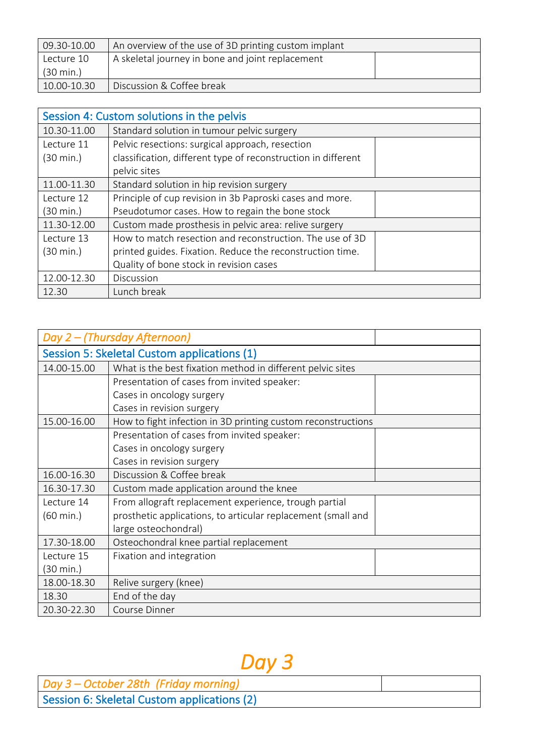| $09.30 - 10.00$     | An overview of the use of 3D printing custom implant |  |
|---------------------|------------------------------------------------------|--|
| Lecture 10          | A skeletal journey in bone and joint replacement     |  |
| $(30 \text{ min.})$ |                                                      |  |
| 10.00-10.30         | Discussion & Coffee break                            |  |

| Session 4: Custom solutions in the pelvis |                                                               |
|-------------------------------------------|---------------------------------------------------------------|
| 10.30-11.00                               | Standard solution in tumour pelvic surgery                    |
| Lecture 11                                | Pelvic resections: surgical approach, resection               |
| (30 min.)                                 | classification, different type of reconstruction in different |
|                                           | pelvic sites                                                  |
| 11.00-11.30                               | Standard solution in hip revision surgery                     |
| Lecture 12                                | Principle of cup revision in 3b Paproski cases and more.      |
| (30 min.)                                 | Pseudotumor cases. How to regain the bone stock               |
| 11.30-12.00                               | Custom made prosthesis in pelvic area: relive surgery         |
| Lecture 13                                | How to match resection and reconstruction. The use of 3D      |
| (30 min.)                                 | printed guides. Fixation. Reduce the reconstruction time.     |
|                                           | Quality of bone stock in revision cases                       |
| 12.00-12.30                               | Discussion                                                    |
| 12.30                                     | Lunch break                                                   |

|                                             | Day 2 - (Thursday Afternoon)                                 |
|---------------------------------------------|--------------------------------------------------------------|
| Session 5: Skeletal Custom applications (1) |                                                              |
| 14.00-15.00                                 | What is the best fixation method in different pelvic sites   |
|                                             | Presentation of cases from invited speaker:                  |
|                                             | Cases in oncology surgery                                    |
|                                             | Cases in revision surgery                                    |
| 15.00-16.00                                 | How to fight infection in 3D printing custom reconstructions |
|                                             | Presentation of cases from invited speaker:                  |
|                                             | Cases in oncology surgery                                    |
|                                             | Cases in revision surgery                                    |
| 16.00-16.30                                 | Discussion & Coffee break                                    |
| 16.30-17.30                                 | Custom made application around the knee                      |
| Lecture 14                                  | From allograft replacement experience, trough partial        |
| $(60 \text{ min.})$                         | prosthetic applications, to articular replacement (small and |
|                                             | large osteochondral)                                         |
| 17.30-18.00                                 | Osteochondral knee partial replacement                       |
| Lecture 15                                  | Fixation and integration                                     |
| (30 min.)                                   |                                                              |
| 18.00-18.30                                 | Relive surgery (knee)                                        |
| 18.30                                       | End of the day                                               |
| 20.30-22.30                                 | Course Dinner                                                |

# *Day 3*

| Day 3 – October 28th (Friday morning)       |  |
|---------------------------------------------|--|
| Session 6: Skeletal Custom applications (2) |  |